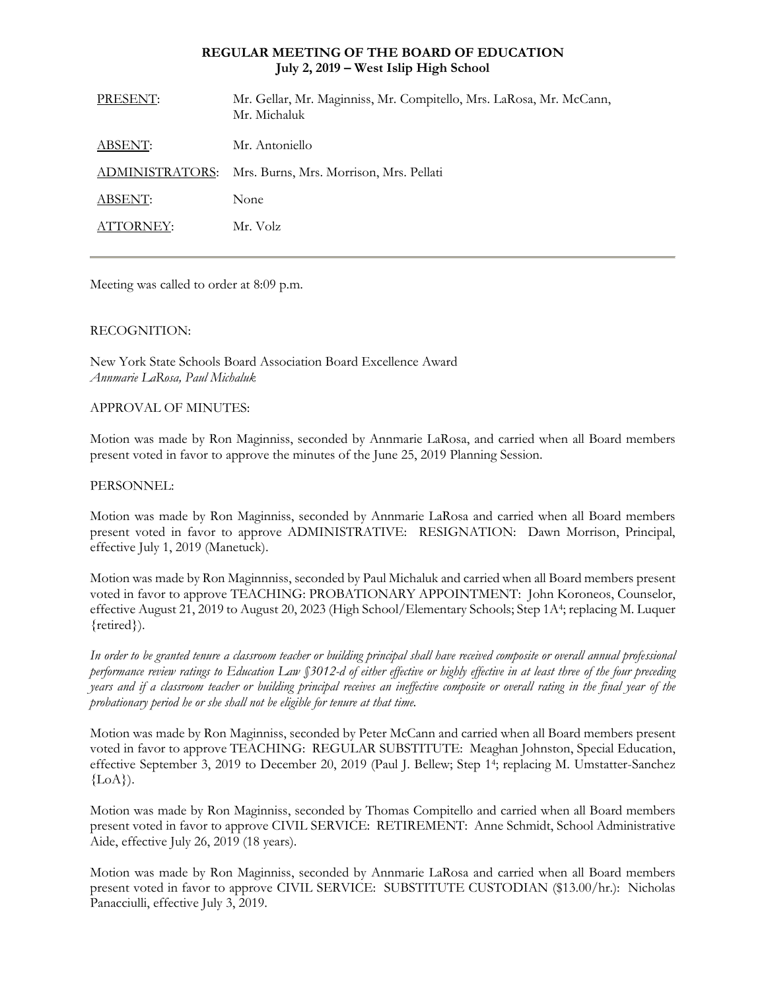### **REGULAR MEETING OF THE BOARD OF EDUCATION July 2, 2019 – West Islip High School**

| PRESENT:        | Mr. Gellar, Mr. Maginniss, Mr. Compitello, Mrs. LaRosa, Mr. McCann,<br>Mr. Michaluk |
|-----------------|-------------------------------------------------------------------------------------|
| ABSENT:         | Mr. Antoniello                                                                      |
| ADMINISTRATORS: | Mrs. Burns, Mrs. Morrison, Mrs. Pellati                                             |
| ABSENT:         | None                                                                                |
| ATTORNEY:       | Mr. Volz                                                                            |
|                 |                                                                                     |

Meeting was called to order at 8:09 p.m.

## RECOGNITION:

New York State Schools Board Association Board Excellence Award *Annmarie LaRosa, Paul Michaluk*

### APPROVAL OF MINUTES:

Motion was made by Ron Maginniss, seconded by Annmarie LaRosa, and carried when all Board members present voted in favor to approve the minutes of the June 25, 2019 Planning Session.

## PERSONNEL:

Motion was made by Ron Maginniss, seconded by Annmarie LaRosa and carried when all Board members present voted in favor to approve ADMINISTRATIVE: RESIGNATION: Dawn Morrison, Principal, effective July 1, 2019 (Manetuck).

Motion was made by Ron Maginnniss, seconded by Paul Michaluk and carried when all Board members present voted in favor to approve TEACHING: PROBATIONARY APPOINTMENT: John Koroneos, Counselor, effective August 21, 2019 to August 20, 2023 (High School/Elementary Schools; Step 1A<sup>4</sup>; replacing M. Luquer {retired}).

*In order to be granted tenure a classroom teacher or building principal shall have received composite or overall annual professional performance review ratings to Education Law §3012-d of either effective or highly effective in at least three of the four preceding years and if a classroom teacher or building principal receives an ineffective composite or overall rating in the final year of the probationary period he or she shall not be eligible for tenure at that time.*

Motion was made by Ron Maginniss, seconded by Peter McCann and carried when all Board members present voted in favor to approve TEACHING: REGULAR SUBSTITUTE: Meaghan Johnston, Special Education, effective September 3, 2019 to December 20, 2019 (Paul J. Bellew; Step 1<sup>4</sup>; replacing M. Umstatter-Sanchez  ${LoA}.$ 

Motion was made by Ron Maginniss, seconded by Thomas Compitello and carried when all Board members present voted in favor to approve CIVIL SERVICE: RETIREMENT: Anne Schmidt, School Administrative Aide, effective July 26, 2019 (18 years).

Motion was made by Ron Maginniss, seconded by Annmarie LaRosa and carried when all Board members present voted in favor to approve CIVIL SERVICE: SUBSTITUTE CUSTODIAN (\$13.00/hr.): Nicholas Panacciulli, effective July 3, 2019.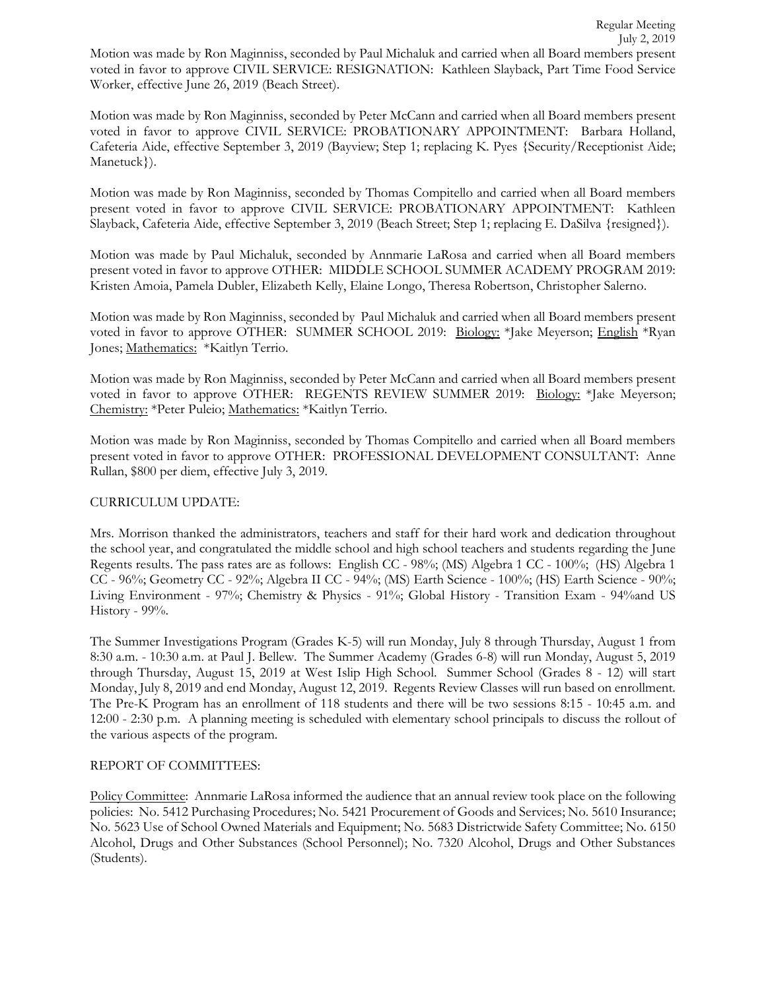Motion was made by Ron Maginniss, seconded by Paul Michaluk and carried when all Board members present voted in favor to approve CIVIL SERVICE: RESIGNATION:Kathleen Slayback, Part Time Food Service Worker, effective June 26, 2019 (Beach Street).

Motion was made by Ron Maginniss, seconded by Peter McCann and carried when all Board members present voted in favor to approve CIVIL SERVICE: PROBATIONARY APPOINTMENT: Barbara Holland, Cafeteria Aide, effective September 3, 2019 (Bayview; Step 1; replacing K. Pyes {Security/Receptionist Aide; Manetuck}).

Motion was made by Ron Maginniss, seconded by Thomas Compitello and carried when all Board members present voted in favor to approve CIVIL SERVICE: PROBATIONARY APPOINTMENT: Kathleen Slayback, Cafeteria Aide, effective September 3, 2019 (Beach Street; Step 1; replacing E. DaSilva {resigned}).

Motion was made by Paul Michaluk, seconded by Annmarie LaRosa and carried when all Board members present voted in favor to approve OTHER: MIDDLE SCHOOL SUMMER ACADEMY PROGRAM 2019: Kristen Amoia, Pamela Dubler, Elizabeth Kelly, Elaine Longo, Theresa Robertson, Christopher Salerno.

Motion was made by Ron Maginniss, seconded by Paul Michaluk and carried when all Board members present voted in favor to approve OTHER: SUMMER SCHOOL 2019: Biology: \*Jake Meyerson; English \*Ryan Jones; Mathematics: \*Kaitlyn Terrio.

Motion was made by Ron Maginniss, seconded by Peter McCann and carried when all Board members present voted in favor to approve OTHER: REGENTS REVIEW SUMMER 2019: Biology: \*Jake Meyerson; Chemistry: \*Peter Puleio; Mathematics: \*Kaitlyn Terrio.

Motion was made by Ron Maginniss, seconded by Thomas Compitello and carried when all Board members present voted in favor to approve OTHER: PROFESSIONAL DEVELOPMENT CONSULTANT: Anne Rullan, \$800 per diem, effective July 3, 2019.

# CURRICULUM UPDATE:

Mrs. Morrison thanked the administrators, teachers and staff for their hard work and dedication throughout the school year, and congratulated the middle school and high school teachers and students regarding the June Regents results. The pass rates are as follows: English CC - 98%; (MS) Algebra 1 CC - 100%; (HS) Algebra 1 CC - 96%; Geometry CC - 92%; Algebra II CC - 94%; (MS) Earth Science - 100%; (HS) Earth Science - 90%; Living Environment - 97%; Chemistry & Physics - 91%; Global History - Transition Exam - 94%and US History - 99%.

The Summer Investigations Program (Grades K-5) will run Monday, July 8 through Thursday, August 1 from 8:30 a.m. - 10:30 a.m. at Paul J. Bellew. The Summer Academy (Grades 6-8) will run Monday, August 5, 2019 through Thursday, August 15, 2019 at West Islip High School. Summer School (Grades 8 - 12) will start Monday, July 8, 2019 and end Monday, August 12, 2019. Regents Review Classes will run based on enrollment. The Pre-K Program has an enrollment of 118 students and there will be two sessions 8:15 - 10:45 a.m. and 12:00 - 2:30 p.m. A planning meeting is scheduled with elementary school principals to discuss the rollout of the various aspects of the program.

# REPORT OF COMMITTEES:

Policy Committee: Annmarie LaRosa informed the audience that an annual review took place on the following policies: No. 5412 Purchasing Procedures; No. 5421 Procurement of Goods and Services; No. 5610 Insurance; No. 5623 Use of School Owned Materials and Equipment; No. 5683 Districtwide Safety Committee; No. 6150 Alcohol, Drugs and Other Substances (School Personnel); No. 7320 Alcohol, Drugs and Other Substances (Students).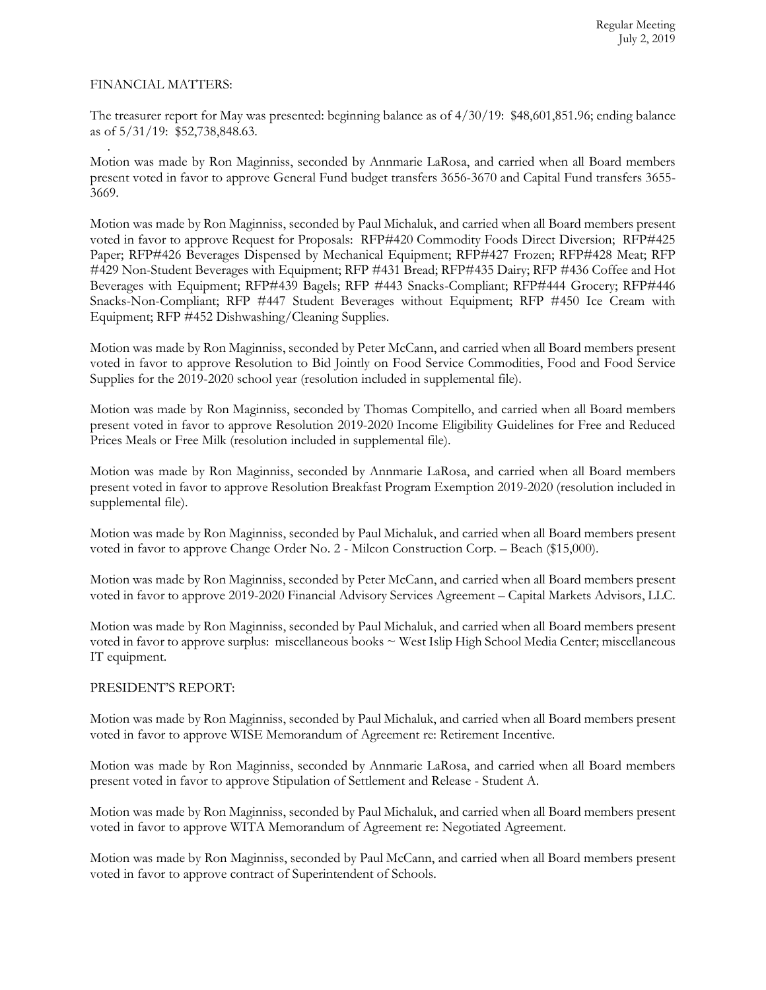### FINANCIAL MATTERS:

The treasurer report for May was presented: beginning balance as of 4/30/19: \$48,601,851.96; ending balance as of 5/31/19: \$52,738,848.63.

 . Motion was made by Ron Maginniss, seconded by Annmarie LaRosa, and carried when all Board members present voted in favor to approve General Fund budget transfers 3656-3670 and Capital Fund transfers 3655- 3669.

Motion was made by Ron Maginniss, seconded by Paul Michaluk, and carried when all Board members present voted in favor to approve Request for Proposals: RFP#420 Commodity Foods Direct Diversion; RFP#425 Paper; RFP#426 Beverages Dispensed by Mechanical Equipment; RFP#427 Frozen; RFP#428 Meat; RFP #429 Non-Student Beverages with Equipment; RFP #431 Bread; RFP#435 Dairy; RFP #436 Coffee and Hot Beverages with Equipment; RFP#439 Bagels; RFP #443 Snacks-Compliant; RFP#444 Grocery; RFP#446 Snacks-Non-Compliant; RFP #447 Student Beverages without Equipment; RFP #450 Ice Cream with Equipment; RFP #452 Dishwashing/Cleaning Supplies.

Motion was made by Ron Maginniss, seconded by Peter McCann, and carried when all Board members present voted in favor to approve Resolution to Bid Jointly on Food Service Commodities, Food and Food Service Supplies for the 2019-2020 school year (resolution included in supplemental file).

Motion was made by Ron Maginniss, seconded by Thomas Compitello, and carried when all Board members present voted in favor to approve Resolution 2019-2020 Income Eligibility Guidelines for Free and Reduced Prices Meals or Free Milk (resolution included in supplemental file).

Motion was made by Ron Maginniss, seconded by Annmarie LaRosa, and carried when all Board members present voted in favor to approve Resolution Breakfast Program Exemption 2019-2020 (resolution included in supplemental file).

Motion was made by Ron Maginniss, seconded by Paul Michaluk, and carried when all Board members present voted in favor to approve Change Order No. 2 - Milcon Construction Corp. – Beach (\$15,000).

Motion was made by Ron Maginniss, seconded by Peter McCann, and carried when all Board members present voted in favor to approve 2019-2020 Financial Advisory Services Agreement – Capital Markets Advisors, LLC.

Motion was made by Ron Maginniss, seconded by Paul Michaluk, and carried when all Board members present voted in favor to approve surplus: miscellaneous books ~ West Islip High School Media Center; miscellaneous IT equipment.

### PRESIDENT'S REPORT:

Motion was made by Ron Maginniss, seconded by Paul Michaluk, and carried when all Board members present voted in favor to approve WISE Memorandum of Agreement re: Retirement Incentive.

Motion was made by Ron Maginniss, seconded by Annmarie LaRosa, and carried when all Board members present voted in favor to approve Stipulation of Settlement and Release - Student A.

Motion was made by Ron Maginniss, seconded by Paul Michaluk, and carried when all Board members present voted in favor to approve WITA Memorandum of Agreement re: Negotiated Agreement.

Motion was made by Ron Maginniss, seconded by Paul McCann, and carried when all Board members present voted in favor to approve contract of Superintendent of Schools.